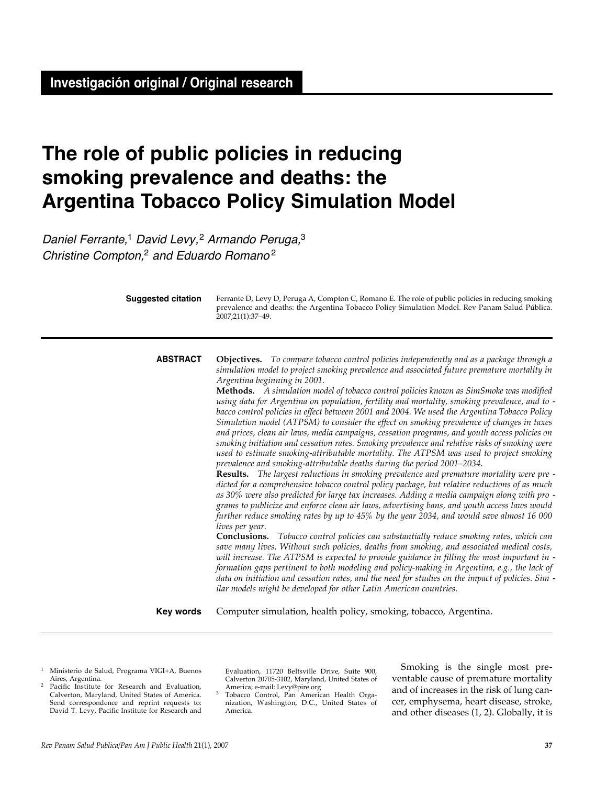# **The role of public policies in reducing smoking prevalence and deaths: the Argentina Tobacco Policy Simulation Model**

Daniel Ferrante,<sup>1</sup> David Levy,<sup>2</sup> Armando Peruga,<sup>3</sup> Christine Compton,<sup>2</sup> and Eduardo Romano<sup>2</sup>

| <b>Suggested citation</b> | Ferrante D, Levy D, Peruga A, Compton C, Romano E. The role of public policies in reducing smoking<br>prevalence and deaths: the Argentina Tobacco Policy Simulation Model. Rev Panam Salud Pública.<br>2007;21(1):37-49.                                                                                                                                                                                                                                                                                                                                                                                                                                                                                                                                                                                                                                                                                                                                                                                                                                                                                                                                                                                                                                                                                                                                                                                                                                                                                                                                                                                                                                                                                                                                                                                                                                                                                                                                                                                                                                                   |  |  |  |  |  |
|---------------------------|-----------------------------------------------------------------------------------------------------------------------------------------------------------------------------------------------------------------------------------------------------------------------------------------------------------------------------------------------------------------------------------------------------------------------------------------------------------------------------------------------------------------------------------------------------------------------------------------------------------------------------------------------------------------------------------------------------------------------------------------------------------------------------------------------------------------------------------------------------------------------------------------------------------------------------------------------------------------------------------------------------------------------------------------------------------------------------------------------------------------------------------------------------------------------------------------------------------------------------------------------------------------------------------------------------------------------------------------------------------------------------------------------------------------------------------------------------------------------------------------------------------------------------------------------------------------------------------------------------------------------------------------------------------------------------------------------------------------------------------------------------------------------------------------------------------------------------------------------------------------------------------------------------------------------------------------------------------------------------------------------------------------------------------------------------------------------------|--|--|--|--|--|
| <b>ABSTRACT</b>           | <b>Objectives.</b> To compare tobacco control policies independently and as a package through a<br>simulation model to project smoking prevalence and associated future premature mortality in<br>Argentina beginning in 2001.<br>Methods. A simulation model of tobacco control policies known as SimSmoke was modified<br>using data for Argentina on population, fertility and mortality, smoking prevalence, and to -<br>bacco control policies in effect between 2001 and 2004. We used the Argentina Tobacco Policy<br>Simulation model (ATPSM) to consider the effect on smoking prevalence of changes in taxes<br>and prices, clean air laws, media campaigns, cessation programs, and youth access policies on<br>smoking initiation and cessation rates. Smoking prevalence and relative risks of smoking were<br>used to estimate smoking-attributable mortality. The ATPSM was used to project smoking<br>prevalence and smoking-attributable deaths during the period 2001-2034.<br>Results. The largest reductions in smoking prevalence and premature mortality were pre -<br>dicted for a comprehensive tobacco control policy package, but relative reductions of as much<br>as 30% were also predicted for large tax increases. Adding a media campaign along with pro -<br>grams to publicize and enforce clean air laws, advertising bans, and youth access laws would<br>further reduce smoking rates by up to 45% by the year 2034, and would save almost 16 000<br>lives per year.<br>Conclusions. Tobacco control policies can substantially reduce smoking rates, which can<br>save many lives. Without such policies, deaths from smoking, and associated medical costs,<br>will increase. The ATPSM is expected to provide guidance in filling the most important in -<br>formation gaps pertinent to both modeling and policy-making in Argentina, e.g., the lack of<br>data on initiation and cessation rates, and the need for studies on the impact of policies. Sim -<br>ilar models might be developed for other Latin American countries. |  |  |  |  |  |
| <b>Key words</b>          | Computer simulation, health policy, smoking, tobacco, Argentina.                                                                                                                                                                                                                                                                                                                                                                                                                                                                                                                                                                                                                                                                                                                                                                                                                                                                                                                                                                                                                                                                                                                                                                                                                                                                                                                                                                                                                                                                                                                                                                                                                                                                                                                                                                                                                                                                                                                                                                                                            |  |  |  |  |  |

- <sup>1</sup> Ministerio de Salud, Programa VIGI+A, Buenos
- <sup>2</sup> Pacific Institute for Research and Evaluation, Calverton, Maryland, United States of America. Send correspondence and reprint requests to: David T. Levy, Pacific Institute for Research and

Evaluation, 11720 Beltsville Drive, Suite 900, Calverton 20705-3102, Maryland, United States of

America; e-mail: Levy@pire.org 3 Tobacco Control, Pan American Health Organization, Washington, D.C., United States of America.

Smoking is the single most preventable cause of premature mortality and of increases in the risk of lung cancer, emphysema, heart disease, stroke, and other diseases (1, 2). Globally, it is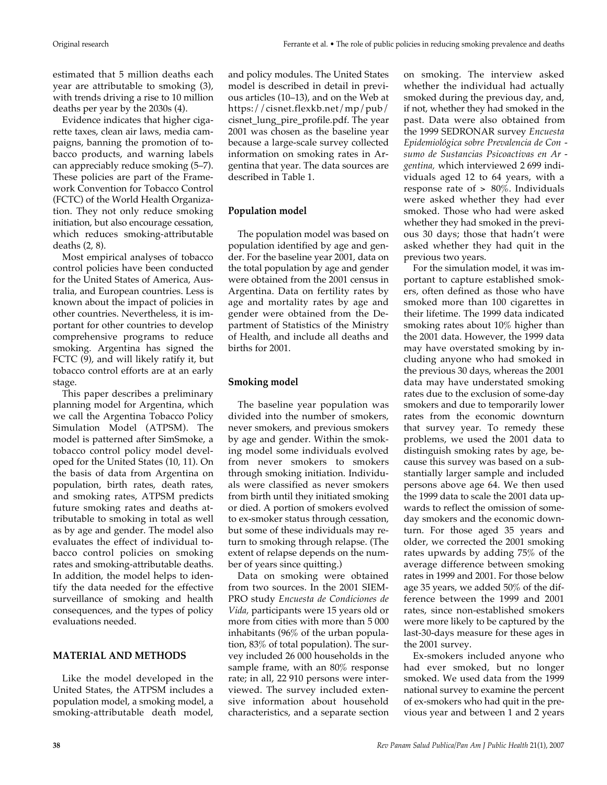estimated that 5 million deaths each year are attributable to smoking (3), with trends driving a rise to 10 million deaths per year by the 2030s (4).

Evidence indicates that higher cigarette taxes, clean air laws, media campaigns, banning the promotion of tobacco products, and warning labels can appreciably reduce smoking (5–7). These policies are part of the Framework Convention for Tobacco Control (FCTC) of the World Health Organization. They not only reduce smoking initiation, but also encourage cessation, which reduces smoking-attributable deaths (2, 8).

Most empirical analyses of tobacco control policies have been conducted for the United States of America, Australia, and European countries. Less is known about the impact of policies in other countries. Nevertheless, it is important for other countries to develop comprehensive programs to reduce smoking. Argentina has signed the FCTC (9), and will likely ratify it, but tobacco control efforts are at an early stage.

This paper describes a preliminary planning model for Argentina, which we call the Argentina Tobacco Policy Simulation Model (ATPSM). The model is patterned after SimSmoke, a tobacco control policy model developed for the United States (10, 11). On the basis of data from Argentina on population, birth rates, death rates, and smoking rates, ATPSM predicts future smoking rates and deaths attributable to smoking in total as well as by age and gender. The model also evaluates the effect of individual tobacco control policies on smoking rates and smoking-attributable deaths. In addition, the model helps to identify the data needed for the effective surveillance of smoking and health consequences, and the types of policy evaluations needed.

## **MATERIAL AND METHODS**

Like the model developed in the United States, the ATPSM includes a population model, a smoking model, a smoking-attributable death model, and policy modules. The United States model is described in detail in previous articles (10–13), and on the Web at https://cisnet.flexkb.net/mp/pub/ cisnet\_lung\_pire\_profile.pdf. The year 2001 was chosen as the baseline year because a large-scale survey collected information on smoking rates in Argentina that year. The data sources are described in Table 1.

## **Population model**

The population model was based on population identified by age and gender. For the baseline year 2001, data on the total population by age and gender were obtained from the 2001 census in Argentina. Data on fertility rates by age and mortality rates by age and gender were obtained from the Department of Statistics of the Ministry of Health, and include all deaths and births for 2001.

## **Smoking model**

The baseline year population was divided into the number of smokers, never smokers, and previous smokers by age and gender. Within the smoking model some individuals evolved from never smokers to smokers through smoking initiation. Individuals were classified as never smokers from birth until they initiated smoking or died. A portion of smokers evolved to ex-smoker status through cessation, but some of these individuals may return to smoking through relapse. (The extent of relapse depends on the number of years since quitting.)

Data on smoking were obtained from two sources. In the 2001 SIEM-PRO study *Encuesta de Condiciones de Vida,* participants were 15 years old or more from cities with more than 5 000 inhabitants (96% of the urban population, 83% of total population). The survey included 26 000 households in the sample frame, with an 80% response rate; in all, 22 910 persons were interviewed. The survey included extensive information about household characteristics, and a separate section

on smoking. The interview asked whether the individual had actually smoked during the previous day, and, if not, whether they had smoked in the past. Data were also obtained from the 1999 SEDRONAR survey *Encuesta Epidemiológica sobre Prevalencia de Con sumo de Sustancias Psicoactivas en Ar gentina,* which interviewed 2 699 individuals aged 12 to 64 years, with a response rate of  $> 80\%$ . Individuals were asked whether they had ever smoked. Those who had were asked whether they had smoked in the previous 30 days; those that hadn't were asked whether they had quit in the previous two years.

For the simulation model, it was important to capture established smokers, often defined as those who have smoked more than 100 cigarettes in their lifetime. The 1999 data indicated smoking rates about 10% higher than the 2001 data. However, the 1999 data may have overstated smoking by including anyone who had smoked in the previous 30 days, whereas the 2001 data may have understated smoking rates due to the exclusion of some-day smokers and due to temporarily lower rates from the economic downturn that survey year. To remedy these problems, we used the 2001 data to distinguish smoking rates by age, because this survey was based on a substantially larger sample and included persons above age 64. We then used the 1999 data to scale the 2001 data upwards to reflect the omission of someday smokers and the economic downturn. For those aged 35 years and older, we corrected the 2001 smoking rates upwards by adding 75% of the average difference between smoking rates in 1999 and 2001. For those below age 35 years, we added 50% of the difference between the 1999 and 2001 rates, since non-established smokers were more likely to be captured by the last-30-days measure for these ages in the 2001 survey.

Ex-smokers included anyone who had ever smoked, but no longer smoked. We used data from the 1999 national survey to examine the percent of ex-smokers who had quit in the previous year and between 1 and 2 years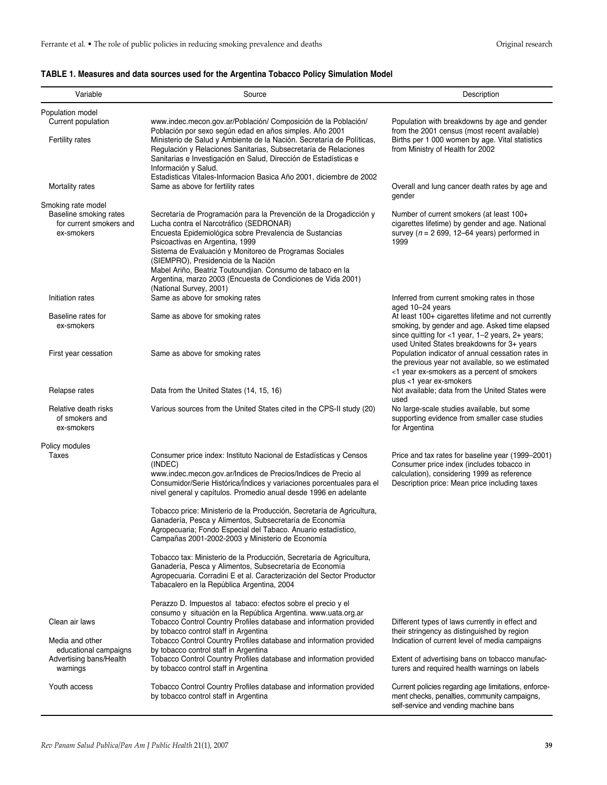## **TABLE 1. Measures and data sources used for the Argentina Tobacco Policy Simulation Model**

| Variable                                                                              | Source                                                                                                                                                                                                                                                                                                                                                                                                                                                                 | Description                                                                                                                                                                                             |
|---------------------------------------------------------------------------------------|------------------------------------------------------------------------------------------------------------------------------------------------------------------------------------------------------------------------------------------------------------------------------------------------------------------------------------------------------------------------------------------------------------------------------------------------------------------------|---------------------------------------------------------------------------------------------------------------------------------------------------------------------------------------------------------|
| Population model<br>Current population                                                | www.indec.mecon.gov.ar/Población/ Composición de la Población/                                                                                                                                                                                                                                                                                                                                                                                                         | Population with breakdowns by age and gender                                                                                                                                                            |
| <b>Fertility rates</b>                                                                | Población por sexo según edad en años simples. Año 2001<br>Ministerio de Salud y Ambiente de la Nación. Secretaría de Políticas,<br>Regulación y Relaciones Sanitarias, Subsecretaría de Relaciones<br>Sanitarias e Investigación en Salud, Dirección de Estadísticas e<br>Información y Salud.                                                                                                                                                                        | from the 2001 census (most recent available)<br>Births per 1 000 women by age. Vital statistics<br>from Ministry of Health for 2002                                                                     |
| Mortality rates                                                                       | Estadisticas Vitales-Informacion Basica Año 2001, diciembre de 2002<br>Same as above for fertility rates                                                                                                                                                                                                                                                                                                                                                               | Overall and lung cancer death rates by age and<br>gender                                                                                                                                                |
| Smoking rate model<br>Baseline smoking rates<br>for current smokers and<br>ex-smokers | Secretaría de Programación para la Prevención de la Drogadicción y<br>Lucha contra el Narcotráfico (SEDRONAR)<br>Encuesta Epidemiológica sobre Prevalencia de Sustancias<br>Psicoactivas en Argentina, 1999<br>Sistema de Evaluación y Monitoreo de Programas Sociales<br>(SIEMPRO), Presidencia de la Nación<br>Mabel Ariño, Beatriz Toutoundjian. Consumo de tabaco en la<br>Argentina, marzo 2003 (Encuesta de Condiciones de Vida 2001)<br>(National Survey, 2001) | Number of current smokers (at least 100+<br>cigarettes lifetime) by gender and age. National<br>survey ( $n = 2699$ , 12–64 years) performed in<br>1999                                                 |
| Initiation rates                                                                      | Same as above for smoking rates                                                                                                                                                                                                                                                                                                                                                                                                                                        | Inferred from current smoking rates in those<br>aged 10-24 years                                                                                                                                        |
| Baseline rates for<br>ex-smokers                                                      | Same as above for smoking rates                                                                                                                                                                                                                                                                                                                                                                                                                                        | At least 100+ cigarettes lifetime and not currently<br>smoking, by gender and age. Asked time elapsed<br>since quitting for <1 year, 1-2 years, 2+ years;<br>used United States breakdowns for 3+ years |
| First year cessation                                                                  | Same as above for smoking rates                                                                                                                                                                                                                                                                                                                                                                                                                                        | Population indicator of annual cessation rates in<br>the previous year not available, so we estimated<br><1 year ex-smokers as a percent of smokers<br>plus <1 year ex-smokers                          |
| Relapse rates                                                                         | Data from the United States (14, 15, 16)                                                                                                                                                                                                                                                                                                                                                                                                                               | Not available; data from the United States were<br>used                                                                                                                                                 |
| Relative death risks<br>of smokers and<br>ex-smokers                                  | Various sources from the United States cited in the CPS-II study (20)                                                                                                                                                                                                                                                                                                                                                                                                  | No large-scale studies available, but some<br>supporting evidence from smaller case studies<br>for Argentina                                                                                            |
| Policy modules                                                                        |                                                                                                                                                                                                                                                                                                                                                                                                                                                                        |                                                                                                                                                                                                         |
| Taxes                                                                                 | Consumer price index: Instituto Nacional de Estadísticas y Censos<br>(INDEC)<br>www.indec.mecon.gov.ar/Indices de Precios/Indices de Precio al<br>Consumidor/Serie Histórica/Índices y variaciones porcentuales para el<br>nivel general y capítulos. Promedio anual desde 1996 en adelante                                                                                                                                                                            | Price and tax rates for baseline year (1999–2001)<br>Consumer price index (includes tobacco in<br>calculation), considering 1999 as reference<br>Description price: Mean price including taxes          |
|                                                                                       | Tobacco price: Ministerio de la Producción, Secretaría de Agricultura,<br>Ganadería, Pesca y Alimentos, Subsecretaría de Economía<br>Agropecuaria; Fondo Especial del Tabaco. Anuario estadístico,<br>Campañas 2001-2002-2003 y Ministerio de Economía                                                                                                                                                                                                                 |                                                                                                                                                                                                         |
|                                                                                       | Tobacco tax: Ministerio de la Producción, Secretaría de Agricultura,<br>Ganadería, Pesca y Alimentos, Subsecretaría de Economía<br>Agropecuaria. Corradini E et al. Caracterización del Sector Productor<br>Tabacalero en la República Argentina, 2004                                                                                                                                                                                                                 |                                                                                                                                                                                                         |
|                                                                                       | Perazzo D. Impuestos al tabaco: efectos sobre el precio y el                                                                                                                                                                                                                                                                                                                                                                                                           |                                                                                                                                                                                                         |
| Clean air laws                                                                        | consumo y situación en la República Argentina. www.uata.org.ar<br>Tobacco Control Country Profiles database and information provided<br>by tobacco control staff in Argentina                                                                                                                                                                                                                                                                                          | Different types of laws currently in effect and<br>their stringency as distinguished by region                                                                                                          |
| Media and other<br>educational campaigns                                              | Tobacco Control Country Profiles database and information provided<br>by tobacco control staff in Argentina                                                                                                                                                                                                                                                                                                                                                            | Indication of current level of media campaigns                                                                                                                                                          |
| Advertising bans/Health<br>warnings                                                   | Tobacco Control Country Profiles database and information provided<br>by tobacco control staff in Argentina                                                                                                                                                                                                                                                                                                                                                            | Extent of advertising bans on tobacco manufac-<br>turers and required health warnings on labels                                                                                                         |
| Youth access                                                                          | Tobacco Control Country Profiles database and information provided<br>by tobacco control staff in Argentina                                                                                                                                                                                                                                                                                                                                                            | Current policies regarding age limitations, enforce-<br>ment checks, penalties, community campaigns,<br>self-service and vending machine bans                                                           |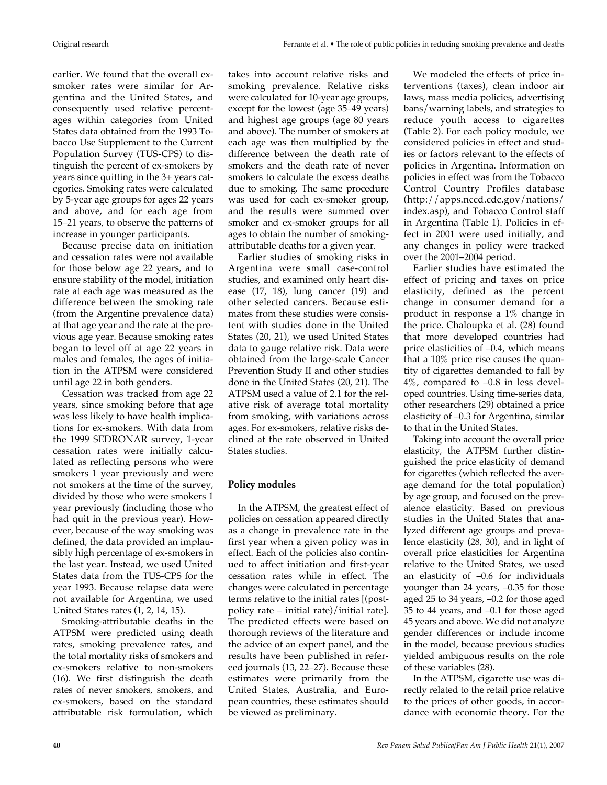earlier. We found that the overall exsmoker rates were similar for Argentina and the United States, and consequently used relative percentages within categories from United States data obtained from the 1993 Tobacco Use Supplement to the Current Population Survey (TUS-CPS) to distinguish the percent of ex-smokers by years since quitting in the 3+ years categories. Smoking rates were calculated by 5-year age groups for ages 22 years and above, and for each age from 15–21 years, to observe the patterns of increase in younger participants.

Because precise data on initiation and cessation rates were not available for those below age 22 years, and to ensure stability of the model, initiation rate at each age was measured as the difference between the smoking rate (from the Argentine prevalence data) at that age year and the rate at the previous age year. Because smoking rates began to level off at age 22 years in males and females, the ages of initiation in the ATPSM were considered until age 22 in both genders.

Cessation was tracked from age 22 years, since smoking before that age was less likely to have health implications for ex-smokers. With data from the 1999 SEDRONAR survey, 1-year cessation rates were initially calculated as reflecting persons who were smokers 1 year previously and were not smokers at the time of the survey, divided by those who were smokers 1 year previously (including those who had quit in the previous year). However, because of the way smoking was defined, the data provided an implausibly high percentage of ex-smokers in the last year. Instead, we used United States data from the TUS-CPS for the year 1993. Because relapse data were not available for Argentina, we used United States rates (1, 2, 14, 15).

Smoking-attributable deaths in the ATPSM were predicted using death rates, smoking prevalence rates, and the total mortality risks of smokers and ex-smokers relative to non-smokers (16). We first distinguish the death rates of never smokers, smokers, and ex-smokers, based on the standard attributable risk formulation, which takes into account relative risks and smoking prevalence. Relative risks were calculated for 10-year age groups, except for the lowest (age 35–49 years) and highest age groups (age 80 years and above). The number of smokers at each age was then multiplied by the difference between the death rate of smokers and the death rate of never smokers to calculate the excess deaths due to smoking. The same procedure was used for each ex-smoker group, and the results were summed over smoker and ex-smoker groups for all ages to obtain the number of smokingattributable deaths for a given year.

Earlier studies of smoking risks in Argentina were small case-control studies, and examined only heart disease (17, 18), lung cancer (19) and other selected cancers. Because estimates from these studies were consistent with studies done in the United States (20, 21), we used United States data to gauge relative risk. Data were obtained from the large-scale Cancer Prevention Study II and other studies done in the United States (20, 21). The ATPSM used a value of 2.1 for the relative risk of average total mortality from smoking, with variations across ages. For ex-smokers, relative risks declined at the rate observed in United States studies.

## **Policy modules**

In the ATPSM, the greatest effect of policies on cessation appeared directly as a change in prevalence rate in the first year when a given policy was in effect. Each of the policies also continued to affect initiation and first-year cessation rates while in effect. The changes were calculated in percentage terms relative to the initial rates [(postpolicy rate – initial rate)/initial rate]. The predicted effects were based on thorough reviews of the literature and the advice of an expert panel, and the results have been published in refereed journals (13, 22–27). Because these estimates were primarily from the United States, Australia, and European countries, these estimates should be viewed as preliminary.

We modeled the effects of price interventions (taxes), clean indoor air laws, mass media policies, advertising bans/warning labels, and strategies to reduce youth access to cigarettes (Table 2). For each policy module, we considered policies in effect and studies or factors relevant to the effects of policies in Argentina. Information on policies in effect was from the Tobacco Control Country Profiles database  $(http://apps.nccd.cdc.gov/nations/$ index.asp), and Tobacco Control staff in Argentina (Table 1). Policies in effect in 2001 were used initially, and any changes in policy were tracked over the 2001–2004 period.

Earlier studies have estimated the effect of pricing and taxes on price elasticity, defined as the percent change in consumer demand for a product in response a 1% change in the price. Chaloupka et al. (28) found that more developed countries had price elasticities of –0.4, which means that a 10% price rise causes the quantity of cigarettes demanded to fall by  $4\%$ , compared to  $-0.8$  in less developed countries. Using time-series data, other researchers (29) obtained a price elasticity of –0.3 for Argentina, similar to that in the United States.

Taking into account the overall price elasticity, the ATPSM further distinguished the price elasticity of demand for cigarettes (which reflected the average demand for the total population) by age group, and focused on the prevalence elasticity. Based on previous studies in the United States that analyzed different age groups and prevalence elasticity (28, 30), and in light of overall price elasticities for Argentina relative to the United States, we used an elasticity of –0.6 for individuals younger than 24 years, –0.35 for those aged 25 to 34 years, –0.2 for those aged 35 to 44 years, and –0.1 for those aged 45 years and above. We did not analyze gender differences or include income in the model, because previous studies yielded ambiguous results on the role of these variables (28).

In the ATPSM, cigarette use was directly related to the retail price relative to the prices of other goods, in accordance with economic theory. For the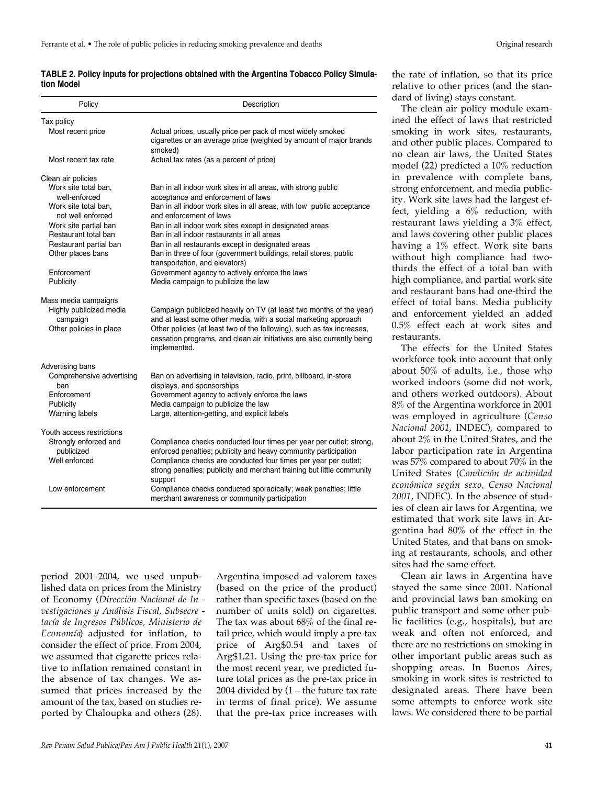|            | TABLE 2. Policy inputs for projections obtained with the Argentina Tobacco Policy Simula- |  |
|------------|-------------------------------------------------------------------------------------------|--|
| tion Model |                                                                                           |  |

| Policy                                                         | Description                                                                                                                                                                                                                                                                                                |
|----------------------------------------------------------------|------------------------------------------------------------------------------------------------------------------------------------------------------------------------------------------------------------------------------------------------------------------------------------------------------------|
| Tax policy                                                     |                                                                                                                                                                                                                                                                                                            |
| Most recent price                                              | Actual prices, usually price per pack of most widely smoked<br>cigarettes or an average price (weighted by amount of major brands<br>smoked)                                                                                                                                                               |
| Most recent tax rate                                           | Actual tax rates (as a percent of price)                                                                                                                                                                                                                                                                   |
| Clean air policies                                             |                                                                                                                                                                                                                                                                                                            |
| Work site total ban,<br>well-enforced<br>Work site total ban.  | Ban in all indoor work sites in all areas, with strong public<br>acceptance and enforcement of laws<br>Ban in all indoor work sites in all areas, with low public acceptance                                                                                                                               |
| not well enforced                                              | and enforcement of laws                                                                                                                                                                                                                                                                                    |
| Work site partial ban                                          | Ban in all indoor work sites except in designated areas                                                                                                                                                                                                                                                    |
| Restaurant total ban                                           | Ban in all indoor restaurants in all areas                                                                                                                                                                                                                                                                 |
| Restaurant partial ban<br>Other places bans                    | Ban in all restaurants except in designated areas<br>Ban in three of four (government buildings, retail stores, public<br>transportation, and elevators)                                                                                                                                                   |
| Enforcement                                                    | Government agency to actively enforce the laws                                                                                                                                                                                                                                                             |
| Publicity                                                      | Media campaign to publicize the law                                                                                                                                                                                                                                                                        |
| Mass media campaigns                                           |                                                                                                                                                                                                                                                                                                            |
| Highly publicized media<br>campaign<br>Other policies in place | Campaign publicized heavily on TV (at least two months of the year)<br>and at least some other media, with a social marketing approach<br>Other policies (at least two of the following), such as tax increases,<br>cessation programs, and clean air initiatives are also currently being<br>implemented. |
| Advertising bans                                               |                                                                                                                                                                                                                                                                                                            |
| Comprehensive advertising<br>ban                               | Ban on advertising in television, radio, print, billboard, in-store<br>displays, and sponsorships                                                                                                                                                                                                          |
| Enforcement                                                    | Government agency to actively enforce the laws                                                                                                                                                                                                                                                             |
| Publicity<br>Warning labels                                    | Media campaign to publicize the law<br>Large, attention-getting, and explicit labels                                                                                                                                                                                                                       |
|                                                                |                                                                                                                                                                                                                                                                                                            |
| Youth access restrictions                                      |                                                                                                                                                                                                                                                                                                            |
| Strongly enforced and<br>publicized<br>Well enforced           | Compliance checks conducted four times per year per outlet; strong,<br>enforced penalties; publicity and heavy community participation<br>Compliance checks are conducted four times per year per outlet;<br>strong penalties; publicity and merchant training but little community<br>support             |
| Low enforcement                                                | Compliance checks conducted sporadically; weak penalties; little<br>merchant awareness or community participation                                                                                                                                                                                          |

period 2001–2004, we used unpublished data on prices from the Ministry of Economy (*Dirección Nacional de In vestigaciones y Análisis Fiscal, Subsecre taría de Ingresos Públicos, Ministerio de Economía*) adjusted for inflation, to consider the effect of price. From 2004, we assumed that cigarette prices relative to inflation remained constant in the absence of tax changes. We assumed that prices increased by the amount of the tax, based on studies reported by Chaloupka and others (28).

Argentina imposed ad valorem taxes (based on the price of the product) rather than specific taxes (based on the number of units sold) on cigarettes. The tax was about 68% of the final retail price, which would imply a pre-tax price of Arg\$0.54 and taxes of Arg\$1.21. Using the pre-tax price for the most recent year, we predicted future total prices as the pre-tax price in 2004 divided by (1 – the future tax rate in terms of final price). We assume that the pre-tax price increases with

the rate of inflation, so that its price relative to other prices (and the standard of living) stays constant.

The clean air policy module examined the effect of laws that restricted smoking in work sites, restaurants, and other public places. Compared to no clean air laws, the United States model (22) predicted a 10% reduction in prevalence with complete bans, strong enforcement, and media publicity. Work site laws had the largest effect, yielding a 6% reduction, with restaurant laws yielding a 3% effect, and laws covering other public places having a 1% effect. Work site bans without high compliance had twothirds the effect of a total ban with high compliance, and partial work site and restaurant bans had one-third the effect of total bans. Media publicity and enforcement yielded an added 0.5% effect each at work sites and restaurants.

The effects for the United States workforce took into account that only about 50% of adults, i.e., those who worked indoors (some did not work, and others worked outdoors). About 8% of the Argentina workforce in 2001 was employed in agriculture (*Censo Nacional 2001*, INDEC), compared to about 2% in the United States, and the labor participation rate in Argentina was 57% compared to about 70% in the United States (*Condición de actividad económica según sexo, Censo Nacional 2001*, INDEC). In the absence of studies of clean air laws for Argentina, we estimated that work site laws in Argentina had 80% of the effect in the United States, and that bans on smoking at restaurants, schools, and other sites had the same effect.

Clean air laws in Argentina have stayed the same since 2001. National and provincial laws ban smoking on public transport and some other public facilities (e.g., hospitals), but are weak and often not enforced, and there are no restrictions on smoking in other important public areas such as shopping areas. In Buenos Aires, smoking in work sites is restricted to designated areas. There have been some attempts to enforce work site laws. We considered there to be partial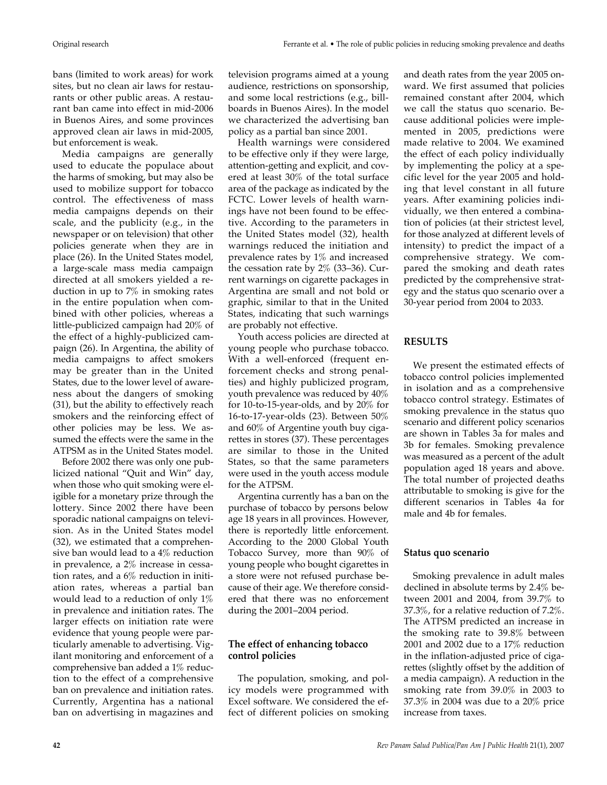bans (limited to work areas) for work sites, but no clean air laws for restaurants or other public areas. A restaurant ban came into effect in mid-2006 in Buenos Aires, and some provinces approved clean air laws in mid-2005, but enforcement is weak.

Media campaigns are generally used to educate the populace about the harms of smoking, but may also be used to mobilize support for tobacco control. The effectiveness of mass media campaigns depends on their scale, and the publicity (e.g., in the newspaper or on television) that other policies generate when they are in place (26). In the United States model, a large-scale mass media campaign directed at all smokers yielded a reduction in up to 7% in smoking rates in the entire population when combined with other policies, whereas a little-publicized campaign had 20% of the effect of a highly-publicized campaign (26). In Argentina, the ability of media campaigns to affect smokers may be greater than in the United States, due to the lower level of awareness about the dangers of smoking (31), but the ability to effectively reach smokers and the reinforcing effect of other policies may be less. We assumed the effects were the same in the ATPSM as in the United States model.

Before 2002 there was only one publicized national "Quit and Win" day, when those who quit smoking were eligible for a monetary prize through the lottery. Since 2002 there have been sporadic national campaigns on television. As in the United States model (32), we estimated that a comprehensive ban would lead to a 4% reduction in prevalence, a 2% increase in cessation rates, and a 6% reduction in initiation rates, whereas a partial ban would lead to a reduction of only 1% in prevalence and initiation rates. The larger effects on initiation rate were evidence that young people were particularly amenable to advertising. Vigilant monitoring and enforcement of a comprehensive ban added a 1% reduction to the effect of a comprehensive ban on prevalence and initiation rates. Currently, Argentina has a national ban on advertising in magazines and

television programs aimed at a young audience, restrictions on sponsorship, and some local restrictions (e.g., billboards in Buenos Aires). In the model we characterized the advertising ban policy as a partial ban since 2001.

Health warnings were considered to be effective only if they were large, attention-getting and explicit, and covered at least 30% of the total surface area of the package as indicated by the FCTC. Lower levels of health warnings have not been found to be effective. According to the parameters in the United States model (32), health warnings reduced the initiation and prevalence rates by 1% and increased the cessation rate by 2% (33–36). Current warnings on cigarette packages in Argentina are small and not bold or graphic, similar to that in the United States, indicating that such warnings are probably not effective.

Youth access policies are directed at young people who purchase tobacco. With a well-enforced (frequent enforcement checks and strong penalties) and highly publicized program, youth prevalence was reduced by 40% for 10-to-15-year-olds, and by 20% for 16-to-17-year-olds (23). Between 50% and 60% of Argentine youth buy cigarettes in stores (37). These percentages are similar to those in the United States, so that the same parameters were used in the youth access module for the ATPSM.

Argentina currently has a ban on the purchase of tobacco by persons below age 18 years in all provinces. However, there is reportedly little enforcement. According to the 2000 Global Youth Tobacco Survey, more than 90% of young people who bought cigarettes in a store were not refused purchase because of their age. We therefore considered that there was no enforcement during the 2001–2004 period.

## **The effect of enhancing tobacco control policies**

The population, smoking, and policy models were programmed with Excel software. We considered the effect of different policies on smoking

and death rates from the year 2005 onward. We first assumed that policies remained constant after 2004, which we call the status quo scenario. Because additional policies were implemented in 2005, predictions were made relative to 2004. We examined the effect of each policy individually by implementing the policy at a specific level for the year 2005 and holding that level constant in all future years. After examining policies individually, we then entered a combination of policies (at their strictest level, for those analyzed at different levels of intensity) to predict the impact of a comprehensive strategy. We compared the smoking and death rates predicted by the comprehensive strategy and the status quo scenario over a 30-year period from 2004 to 2033.

## **RESULTS**

We present the estimated effects of tobacco control policies implemented in isolation and as a comprehensive tobacco control strategy. Estimates of smoking prevalence in the status quo scenario and different policy scenarios are shown in Tables 3a for males and 3b for females. Smoking prevalence was measured as a percent of the adult population aged 18 years and above. The total number of projected deaths attributable to smoking is give for the different scenarios in Tables 4a for male and 4b for females.

## **Status quo scenario**

Smoking prevalence in adult males declined in absolute terms by 2.4% between 2001 and 2004, from 39.7% to 37.3%, for a relative reduction of 7.2%. The ATPSM predicted an increase in the smoking rate to 39.8% between 2001 and 2002 due to a 17% reduction in the inflation-adjusted price of cigarettes (slightly offset by the addition of a media campaign). A reduction in the smoking rate from 39.0% in 2003 to 37.3% in 2004 was due to a 20% price increase from taxes.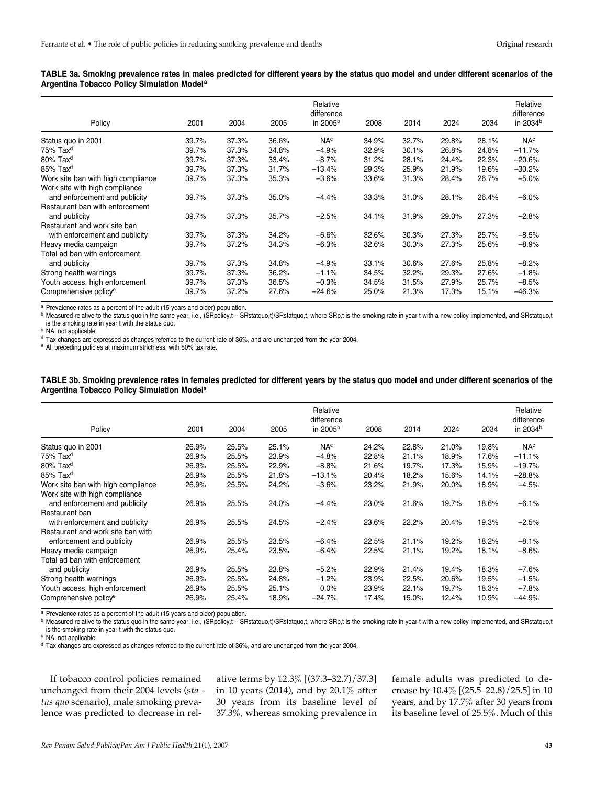| TABLE 3a. Smoking prevalence rates in males predicted for different years by the status quo model and under different scenarios of the |  |  |  |
|----------------------------------------------------------------------------------------------------------------------------------------|--|--|--|
| Argentina Tobacco Policy Simulation Model <sup>a</sup>                                                                                 |  |  |  |

| Policy                                                          | 2001           | 2004           | 2005           | Relative<br>difference<br>in 2005 <sup>b</sup> | 2008           | 2014           | 2024           | 2034           | Relative<br>difference<br>in 2034 <sup>b</sup> |
|-----------------------------------------------------------------|----------------|----------------|----------------|------------------------------------------------|----------------|----------------|----------------|----------------|------------------------------------------------|
| Status quo in 2001                                              | 39.7%          | 37.3%          | 36.6%          | NA <sup>c</sup>                                | 34.9%          | 32.7%          | 29.8%          | 28.1%          | NA <sup>c</sup>                                |
| $75\%$ Tax <sup>d</sup>                                         | 39.7%          | 37.3%          | 34.8%          | $-4.9%$                                        | 32.9%          | 30.1%          | 26.8%          | 24.8%          | $-11.7%$                                       |
| $80\%$ Tax <sup>d</sup>                                         | 39.7%          | 37.3%          | 33.4%          | $-8.7%$                                        | 31.2%          | 28.1%          | 24.4%          | 22.3%          | $-20.6%$                                       |
| $85\%$ Tax <sup>d</sup>                                         | 39.7%          | 37.3%          | 31.7%          | $-13.4%$                                       | 29.3%          | 25.9%          | 21.9%          | 19.6%          | $-30.2%$                                       |
| Work site ban with high compliance                              | 39.7%          | 37.3%          | 35.3%          | $-3.6%$                                        | 33.6%          | 31.3%          | 28.4%          | 26.7%          | $-5.0%$                                        |
| Work site with high compliance<br>and enforcement and publicity | 39.7%          | 37.3%          | 35.0%          | $-4.4%$                                        | 33.3%          | 31.0%          | 28.1%          | 26.4%          | $-6.0%$                                        |
| Restaurant ban with enforcement<br>and publicity                | 39.7%          | 37.3%          | 35.7%          | $-2.5%$                                        | 34.1%          | 31.9%          | 29.0%          | 27.3%          | $-2.8%$                                        |
| Restaurant and work site ban                                    |                |                |                |                                                |                |                |                |                |                                                |
| with enforcement and publicity<br>Heavy media campaign          | 39.7%<br>39.7% | 37.3%<br>37.2% | 34.2%<br>34.3% | $-6.6%$<br>$-6.3%$                             | 32.6%<br>32.6% | 30.3%<br>30.3% | 27.3%<br>27.3% | 25.7%<br>25.6% | $-8.5%$<br>$-8.9%$                             |
| Total ad ban with enforcement                                   |                |                |                |                                                |                |                |                |                |                                                |
| and publicity                                                   | 39.7%          | 37.3%          | 34.8%          | $-4.9%$                                        | 33.1%          | 30.6%          | 27.6%          | 25.8%          | $-8.2%$                                        |
| Strong health warnings                                          | 39.7%          | 37.3%          | 36.2%          | $-1.1%$                                        | 34.5%          | 32.2%          | 29.3%          | 27.6%          | $-1.8%$                                        |
| Youth access, high enforcement                                  | 39.7%          | 37.3%          | 36.5%          | $-0.3%$                                        | 34.5%          | 31.5%          | 27.9%          | 25.7%          | $-8.5%$                                        |
| Comprehensive policy <sup>e</sup>                               | 39.7%          | 37.2%          | 27.6%          | $-24.6\%$                                      | 25.0%          | 21.3%          | 17.3%          | 15.1%          | $-46.3%$                                       |

<sup>a</sup> Prevalence rates as a percent of the adult (15 years and older) population.

b Measured relative to the status quo in the same year, i.e., (SRpolicy,t – SRstatquo,t)/SRstatquo,t, where SRp,t is the smoking rate in year t with a new policy implemented, and SRstatquo,t is the smoking rate in year t with the status quo.  $\circ$  NA, not applicable.

<sup>d</sup> Tax changes are expressed as changes referred to the current rate of 36%, and are unchanged from the year 2004.

<sup>e</sup> All preceding policies at maximum strictness, with 80% tax rate.

#### **TABLE 3b. Smoking prevalence rates in females predicted for different years by the status quo model and under different scenarios of the Argentina Tobacco Policy Simulation Modela**

| Policy                             | 2001  | 2004  | 2005  | Relative<br>difference<br>in 2005 <sup>b</sup> | 2008  | 2014  | 2024  | 2034  | Relative<br>difference<br>in 2034 <sup>b</sup> |
|------------------------------------|-------|-------|-------|------------------------------------------------|-------|-------|-------|-------|------------------------------------------------|
| Status quo in 2001                 | 26.9% | 25.5% | 25.1% | NA <sup>c</sup>                                | 24.2% | 22.8% | 21.0% | 19.8% | NA <sup>c</sup>                                |
| $75\%$ Tax <sup>d</sup>            | 26.9% | 25.5% | 23.9% | $-4.8%$                                        | 22.8% | 21.1% | 18.9% | 17.6% | $-11.1%$                                       |
| $80\%$ Tax <sup>d</sup>            | 26.9% | 25.5% | 22.9% | $-8.8%$                                        | 21.6% | 19.7% | 17.3% | 15.9% | $-19.7%$                                       |
| $85\%$ Tax <sup>d</sup>            | 26.9% | 25.5% | 21.8% | $-13.1%$                                       | 20.4% | 18.2% | 15.6% | 14.1% | $-28.8%$                                       |
| Work site ban with high compliance | 26.9% | 25.5% | 24.2% | $-3.6%$                                        | 23.2% | 21.9% | 20.0% | 18.9% | $-4.5%$                                        |
| Work site with high compliance     |       |       |       |                                                |       |       |       |       |                                                |
| and enforcement and publicity      | 26.9% | 25.5% | 24.0% | $-4.4%$                                        | 23.0% | 21.6% | 19.7% | 18.6% | $-6.1%$                                        |
| Restaurant ban                     |       |       |       |                                                |       |       |       |       |                                                |
| with enforcement and publicity     | 26.9% | 25.5% | 24.5% | $-2.4%$                                        | 23.6% | 22.2% | 20.4% | 19.3% | $-2.5%$                                        |
| Restaurant and work site ban with  |       |       |       |                                                |       |       |       |       |                                                |
| enforcement and publicity          | 26.9% | 25.5% | 23.5% | $-6.4%$                                        | 22.5% | 21.1% | 19.2% | 18.2% | $-8.1%$                                        |
| Heavy media campaign               | 26.9% | 25.4% | 23.5% | $-6.4%$                                        | 22.5% | 21.1% | 19.2% | 18.1% | $-8.6%$                                        |
| Total ad ban with enforcement      |       |       |       |                                                |       |       |       |       |                                                |
| and publicity                      | 26.9% | 25.5% | 23.8% | $-5.2%$                                        | 22.9% | 21.4% | 19.4% | 18.3% | $-7.6%$                                        |
| Strong health warnings             | 26.9% | 25.5% | 24.8% | $-1.2%$                                        | 23.9% | 22.5% | 20.6% | 19.5% | $-1.5%$                                        |
| Youth access, high enforcement     | 26.9% | 25.5% | 25.1% | 0.0%                                           | 23.9% | 22.1% | 19.7% | 18.3% | $-7.8%$                                        |
| Comprehensive policy <sup>e</sup>  | 26.9% | 25.4% | 18.9% | $-24.7%$                                       | 17.4% | 15.0% | 12.4% | 10.9% | $-44.9%$                                       |

a Prevalence rates as a percent of the adult (15 years and older) population.

b Measured relative to the status quo in the same year, i.e., (SRpolicy,t – SRstatquo,t)/SRstatquo,t, where SRp,t is the smoking rate in year t with a new policy implemented, and SRstatquo,t is the smoking rate in year t with the status quo.  $\circ$  NA, not applicable.

<sup>d</sup> Tax changes are expressed as changes referred to the current rate of 36%, and are unchanged from the year 2004.

If tobacco control policies remained unchanged from their 2004 levels (s*ta tus quo* scenario), male smoking prevalence was predicted to decrease in relative terms by 12.3% [(37.3–32.7)/37.3] in 10 years (2014), and by 20.1% after 30 years from its baseline level of 37.3%, whereas smoking prevalence in female adults was predicted to decrease by 10.4% [(25.5–22.8)/25.5] in 10 years, and by 17.7% after 30 years from its baseline level of 25.5%. Much of this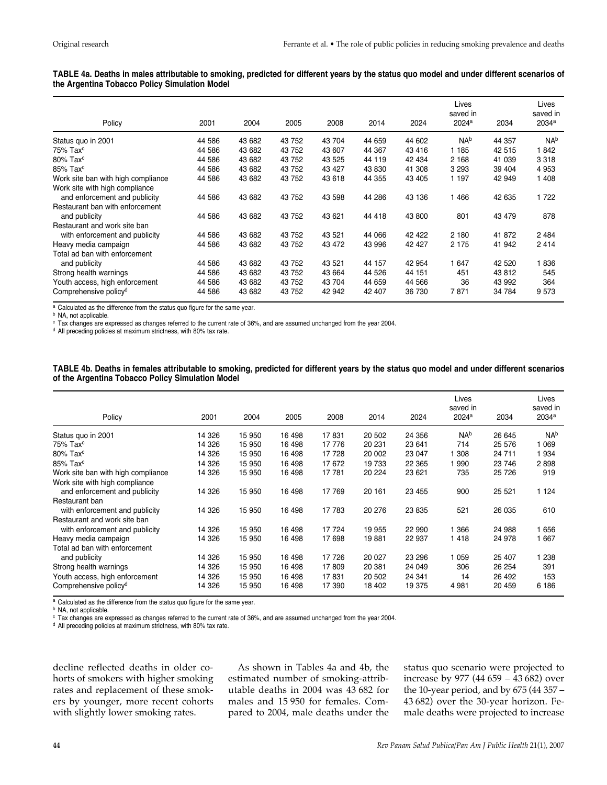| TABLE 4a. Deaths in males attributable to smoking, predicted for different years by the status quo model and under different scenarios of |  |  |
|-------------------------------------------------------------------------------------------------------------------------------------------|--|--|
| the Argentina Tobacco Policy Simulation Model                                                                                             |  |  |

|                                    |        |        |        |         |        |        | Lives<br>saved in |        | Lives<br>saved in |
|------------------------------------|--------|--------|--------|---------|--------|--------|-------------------|--------|-------------------|
| Policy                             | 2001   | 2004   | 2005   | 2008    | 2014   | 2024   | 2024 <sup>a</sup> | 2034   | 2034 <sup>a</sup> |
| Status quo in 2001                 | 44 586 | 43 682 | 43 752 | 43 704  | 44 659 | 44 602 | NA <sup>b</sup>   | 44 357 | N <sub>Ab</sub>   |
| $75\%$ Tax $c$                     | 44 586 | 43 682 | 43 752 | 43 607  | 44 367 | 43 416 | 1 185             | 42 515 | 1842              |
| $80\%$ Tax <sup>c</sup>            | 44 586 | 43 682 | 43 752 | 43 525  | 44 119 | 42 434 | 2 1 6 8           | 41 039 | 3 3 1 8           |
| $85\%$ Tax <sup>c</sup>            | 44 586 | 43 682 | 43 752 | 43 427  | 43 830 | 41 308 | 3 2 9 3           | 39 404 | 4 9 5 3           |
| Work site ban with high compliance | 44 586 | 43 682 | 43 752 | 43 618  | 44 355 | 43 405 | 1 1 9 7           | 42 949 | 1 408             |
| Work site with high compliance     |        |        |        |         |        |        |                   |        |                   |
| and enforcement and publicity      | 44 586 | 43 682 | 43 752 | 43 598  | 44 286 | 43 136 | 1466              | 42 635 | 1722              |
| Restaurant ban with enforcement    |        |        |        |         |        |        |                   |        |                   |
| and publicity                      | 44 586 | 43 682 | 43 752 | 43 621  | 44 418 | 43 800 | 801               | 43 479 | 878               |
| Restaurant and work site ban       |        |        |        |         |        |        |                   |        |                   |
| with enforcement and publicity     | 44 586 | 43 682 | 43 752 | 43 5 21 | 44 066 | 42 422 | 2 180             | 41 872 | 2 4 8 4           |
| Heavy media campaign               | 44 586 | 43 682 | 43 752 | 43 472  | 43 996 | 42 427 | 2 1 7 5           | 41 942 | 2414              |
| Total ad ban with enforcement      |        |        |        |         |        |        |                   |        |                   |
| and publicity                      | 44 586 | 43 682 | 43 752 | 43 521  | 44 157 | 42 954 | 1 647             | 42 520 | 1836              |
| Strong health warnings             | 44 586 | 43 682 | 43 752 | 43 664  | 44 526 | 44 151 | 451               | 43 812 | 545               |
| Youth access, high enforcement     | 44 586 | 43 682 | 43 752 | 43 704  | 44 659 | 44 566 | 36                | 43 992 | 364               |
| Comprehensive policy <sup>d</sup>  | 44 586 | 43 682 | 43 752 | 42 942  | 42 407 | 36 730 | 7871              | 34 784 | 9573              |

<sup>a</sup> Calculated as the difference from the status quo figure for the same year.

**b** NA, not applicable.

 $c$  Tax changes are expressed as changes referred to the current rate of 36%, and are assumed unchanged from the year 2004.

<sup>d</sup> All preceding policies at maximum strictness, with 80% tax rate.

#### **TABLE 4b. Deaths in females attributable to smoking, predicted for different years by the status quo model and under different scenarios of the Argentina Tobacco Policy Simulation Model**

| Policy                             | 2001   | 2004   | 2005   | 2008   | 2014   | 2024    | Lives<br>saved in<br>2024 <sup>a</sup> | 2034    | Lives<br>saved in<br>2034 <sup>a</sup> |
|------------------------------------|--------|--------|--------|--------|--------|---------|----------------------------------------|---------|----------------------------------------|
| Status quo in 2001                 | 14 326 | 15 950 | 16 498 | 17831  | 20 502 | 24 356  | N <sub>Ab</sub>                        | 26 645  | N <sub>Ab</sub>                        |
| $75\%$ Tax $c$                     | 14 326 | 15 950 | 16 498 | 17 776 | 20 231 | 23 641  | 714                                    | 25 576  | 069                                    |
| $80\%$ Tax <sup>c</sup>            | 14 326 | 15 950 | 16 498 | 17728  | 20 002 | 23 047  | 1 308                                  | 24 711  | 934                                    |
| $85\%$ Tax <sup>c</sup>            | 14 326 | 15 950 | 16 498 | 17 672 | 19 733 | 22 3 65 | 990                                    | 23 746  | 2898                                   |
| Work site ban with high compliance | 14 326 | 15 950 | 16 498 | 17 781 | 20 224 | 23 621  | 735                                    | 25 7 26 | 919                                    |
| Work site with high compliance     |        |        |        |        |        |         |                                        |         |                                        |
| and enforcement and publicity      | 14 326 | 15 950 | 16 498 | 17 769 | 20 161 | 23 455  | 900                                    | 25 5 21 | 1 1 2 4                                |
| Restaurant ban                     |        |        |        |        |        |         |                                        |         |                                        |
| with enforcement and publicity     | 14 326 | 15 950 | 16 498 | 17 783 | 20 276 | 23 835  | 521                                    | 26 035  | 610                                    |
| Restaurant and work site ban       |        |        |        |        |        |         |                                        |         |                                        |
| with enforcement and publicity     | 14 326 | 15 950 | 16 498 | 17 724 | 19 955 | 22 990  | 1 366                                  | 24 988  | 656                                    |
| Heavy media campaign               | 14 326 | 15 950 | 16 498 | 17 698 | 19881  | 22 937  | 1418                                   | 24 978  | 1 667                                  |
| Total ad ban with enforcement      |        |        |        |        |        |         |                                        |         |                                        |
| and publicity                      | 14 326 | 15 950 | 16 498 | 17 726 | 20 027 | 23 296  | 1 0 5 9                                | 25 407  | 238                                    |
| Strong health warnings             | 14 326 | 15 950 | 16 498 | 17809  | 20 381 | 24 049  | 306                                    | 26 254  | 391                                    |
| Youth access, high enforcement     | 14 326 | 15 950 | 16 498 | 17831  | 20 502 | 24 341  | 14                                     | 26 492  | 153                                    |
| Comprehensive policy <sup>d</sup>  | 14 326 | 15 950 | 16 498 | 17 390 | 18 402 | 19 375  | 4981                                   | 20 459  | 6 186                                  |

a Calculated as the difference from the status quo figure for the same year.

**b** NA, not applicable.

<sup>c</sup> Tax changes are expressed as changes referred to the current rate of 36%, and are assumed unchanged from the year 2004.

<sup>d</sup> All preceding policies at maximum strictness, with 80% tax rate.

decline reflected deaths in older cohorts of smokers with higher smoking rates and replacement of these smokers by younger, more recent cohorts with slightly lower smoking rates.

As shown in Tables 4a and 4b, the estimated number of smoking-attributable deaths in 2004 was 43 682 for males and 15 950 for females. Compared to 2004, male deaths under the status quo scenario were projected to increase by 977 (44 659 – 43 682) over the 10-year period, and by 675 (44 357 – 43 682) over the 30-year horizon. Female deaths were projected to increase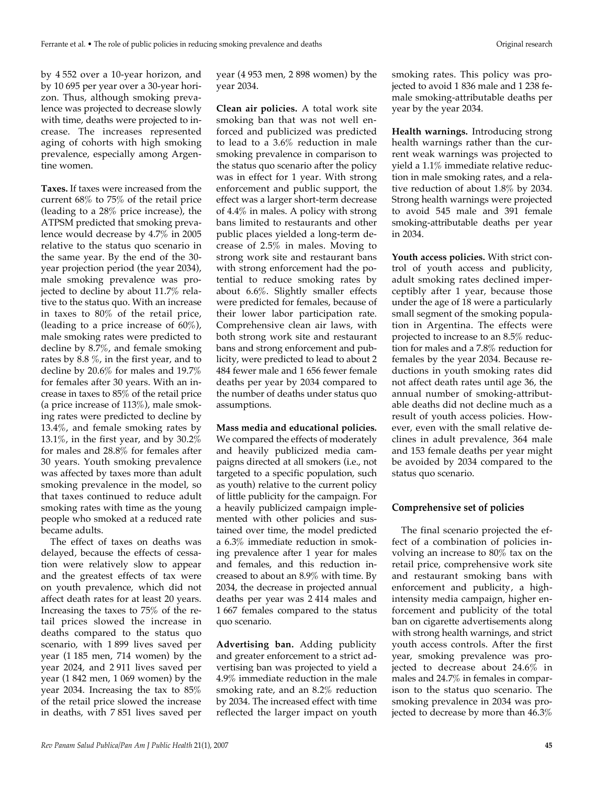by 4 552 over a 10-year horizon, and by 10 695 per year over a 30-year horizon. Thus, although smoking prevalence was projected to decrease slowly with time, deaths were projected to increase. The increases represented aging of cohorts with high smoking prevalence, especially among Argentine women.

**Taxes.** If taxes were increased from the current 68% to 75% of the retail price (leading to a 28% price increase), the ATPSM predicted that smoking prevalence would decrease by 4.7% in 2005 relative to the status quo scenario in the same year. By the end of the 30 year projection period (the year 2034), male smoking prevalence was projected to decline by about 11.7% relative to the status quo. With an increase in taxes to 80% of the retail price, (leading to a price increase of  $60\%$ ), male smoking rates were predicted to decline by 8.7%, and female smoking rates by 8.8 %, in the first year, and to decline by 20.6% for males and 19.7% for females after 30 years. With an increase in taxes to 85% of the retail price (a price increase of 113%), male smoking rates were predicted to decline by 13.4%, and female smoking rates by 13.1%, in the first year, and by 30.2% for males and 28.8% for females after 30 years. Youth smoking prevalence was affected by taxes more than adult smoking prevalence in the model, so that taxes continued to reduce adult smoking rates with time as the young people who smoked at a reduced rate became adults.

The effect of taxes on deaths was delayed, because the effects of cessation were relatively slow to appear and the greatest effects of tax were on youth prevalence, which did not affect death rates for at least 20 years. Increasing the taxes to 75% of the retail prices slowed the increase in deaths compared to the status quo scenario, with 1 899 lives saved per year (1 185 men, 714 women) by the year 2024, and 2 911 lives saved per year (1 842 men, 1 069 women) by the year 2034. Increasing the tax to 85% of the retail price slowed the increase in deaths, with 7 851 lives saved per year (4 953 men, 2 898 women) by the year 2034.

**Clean air policies.** A total work site smoking ban that was not well enforced and publicized was predicted to lead to a 3.6% reduction in male smoking prevalence in comparison to the status quo scenario after the policy was in effect for 1 year. With strong enforcement and public support, the effect was a larger short-term decrease of 4.4% in males. A policy with strong bans limited to restaurants and other public places yielded a long-term decrease of 2.5% in males. Moving to strong work site and restaurant bans with strong enforcement had the potential to reduce smoking rates by about 6.6%. Slightly smaller effects were predicted for females, because of their lower labor participation rate. Comprehensive clean air laws, with both strong work site and restaurant bans and strong enforcement and publicity, were predicted to lead to about 2 484 fewer male and 1 656 fewer female deaths per year by 2034 compared to the number of deaths under status quo assumptions.

#### **Mass media and educational policies.**

We compared the effects of moderately and heavily publicized media campaigns directed at all smokers (i.e., not targeted to a specific population, such as youth) relative to the current policy of little publicity for the campaign. For a heavily publicized campaign implemented with other policies and sustained over time, the model predicted a 6.3% immediate reduction in smoking prevalence after 1 year for males and females, and this reduction increased to about an 8.9% with time. By 2034, the decrease in projected annual deaths per year was 2 414 males and 1 667 females compared to the status quo scenario.

**Advertising ban.** Adding publicity and greater enforcement to a strict advertising ban was projected to yield a 4.9% immediate reduction in the male smoking rate, and an 8.2% reduction by 2034. The increased effect with time reflected the larger impact on youth

smoking rates. This policy was projected to avoid 1 836 male and 1 238 female smoking-attributable deaths per year by the year 2034.

**Health warnings.** Introducing strong health warnings rather than the current weak warnings was projected to yield a 1.1% immediate relative reduction in male smoking rates, and a relative reduction of about 1.8% by 2034. Strong health warnings were projected to avoid 545 male and 391 female smoking-attributable deaths per year in 2034.

**Youth access policies.** With strict control of youth access and publicity, adult smoking rates declined imperceptibly after 1 year, because those under the age of 18 were a particularly small segment of the smoking population in Argentina. The effects were projected to increase to an 8.5% reduction for males and a 7.8% reduction for females by the year 2034. Because reductions in youth smoking rates did not affect death rates until age 36, the annual number of smoking-attributable deaths did not decline much as a result of youth access policies. However, even with the small relative declines in adult prevalence, 364 male and 153 female deaths per year might be avoided by 2034 compared to the status quo scenario.

#### **Comprehensive set of policies**

The final scenario projected the effect of a combination of policies involving an increase to 80% tax on the retail price, comprehensive work site and restaurant smoking bans with enforcement and publicity, a highintensity media campaign, higher enforcement and publicity of the total ban on cigarette advertisements along with strong health warnings, and strict youth access controls. After the first year, smoking prevalence was projected to decrease about 24.6% in males and 24.7% in females in comparison to the status quo scenario. The smoking prevalence in 2034 was projected to decrease by more than 46.3%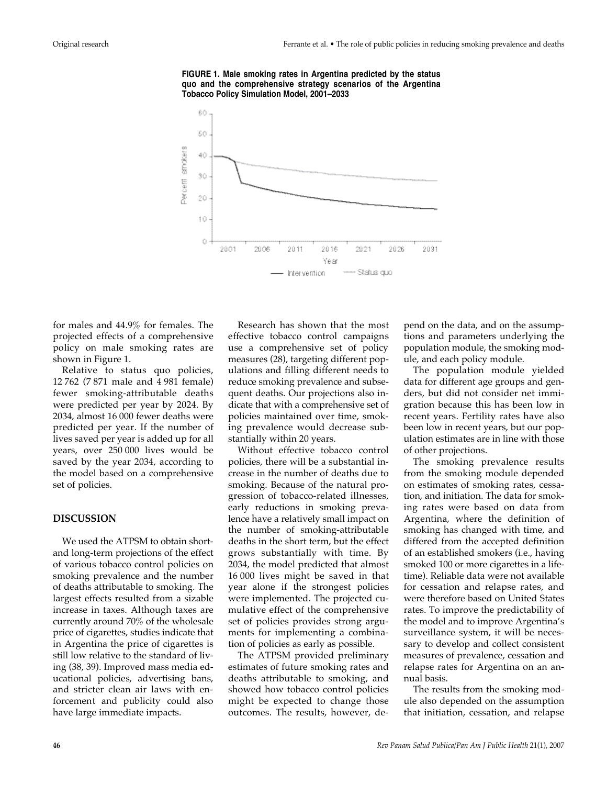

**FIGURE 1. Male smoking rates in Argentina predicted by the status quo and the comprehensive strategy scenarios of the Argentina Tobacco Policy Simulation Model, 2001–2033**

for males and 44.9% for females. The projected effects of a comprehensive policy on male smoking rates are shown in Figure 1.

Relative to status quo policies, 12 762 (7 871 male and 4 981 female) fewer smoking-attributable deaths were predicted per year by 2024. By 2034, almost 16 000 fewer deaths were predicted per year. If the number of lives saved per year is added up for all years, over 250 000 lives would be saved by the year 2034, according to the model based on a comprehensive set of policies.

## **DISCUSSION**

We used the ATPSM to obtain shortand long-term projections of the effect of various tobacco control policies on smoking prevalence and the number of deaths attributable to smoking. The largest effects resulted from a sizable increase in taxes. Although taxes are currently around 70% of the wholesale price of cigarettes, studies indicate that in Argentina the price of cigarettes is still low relative to the standard of living (38, 39). Improved mass media educational policies, advertising bans, and stricter clean air laws with enforcement and publicity could also have large immediate impacts.

Research has shown that the most effective tobacco control campaigns use a comprehensive set of policy measures (28), targeting different populations and filling different needs to reduce smoking prevalence and subsequent deaths. Our projections also indicate that with a comprehensive set of policies maintained over time, smoking prevalence would decrease substantially within 20 years.

Without effective tobacco control policies, there will be a substantial increase in the number of deaths due to smoking. Because of the natural progression of tobacco-related illnesses, early reductions in smoking prevalence have a relatively small impact on the number of smoking-attributable deaths in the short term, but the effect grows substantially with time. By 2034, the model predicted that almost 16 000 lives might be saved in that year alone if the strongest policies were implemented. The projected cumulative effect of the comprehensive set of policies provides strong arguments for implementing a combination of policies as early as possible.

The ATPSM provided preliminary estimates of future smoking rates and deaths attributable to smoking, and showed how tobacco control policies might be expected to change those outcomes. The results, however, depend on the data, and on the assumptions and parameters underlying the population module, the smoking module, and each policy module.

The population module yielded data for different age groups and genders, but did not consider net immigration because this has been low in recent years. Fertility rates have also been low in recent years, but our population estimates are in line with those of other projections.

The smoking prevalence results from the smoking module depended on estimates of smoking rates, cessation, and initiation. The data for smoking rates were based on data from Argentina, where the definition of smoking has changed with time, and differed from the accepted definition of an established smokers (i.e., having smoked 100 or more cigarettes in a lifetime). Reliable data were not available for cessation and relapse rates, and were therefore based on United States rates. To improve the predictability of the model and to improve Argentina's surveillance system, it will be necessary to develop and collect consistent measures of prevalence, cessation and relapse rates for Argentina on an annual basis.

The results from the smoking module also depended on the assumption that initiation, cessation, and relapse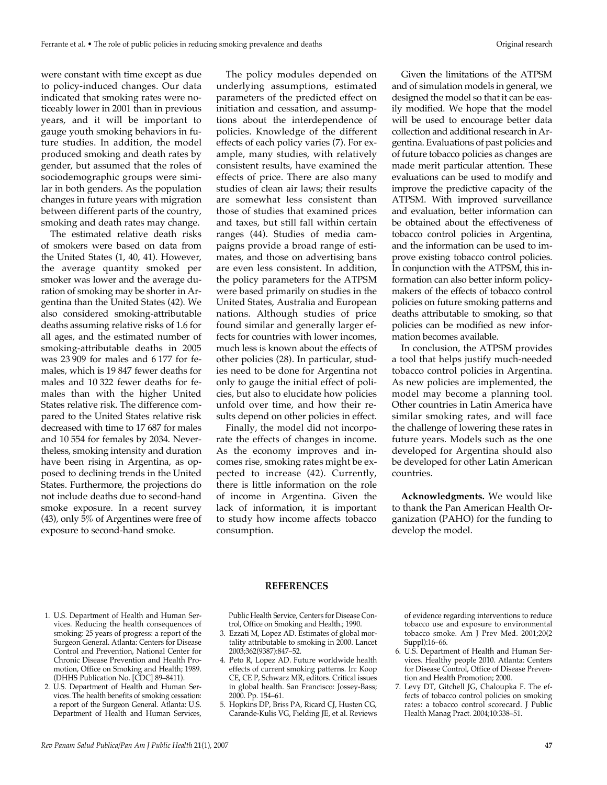were constant with time except as due to policy-induced changes. Our data indicated that smoking rates were noticeably lower in 2001 than in previous years, and it will be important to gauge youth smoking behaviors in future studies. In addition, the model produced smoking and death rates by gender, but assumed that the roles of sociodemographic groups were similar in both genders. As the population changes in future years with migration between different parts of the country, smoking and death rates may change.

The estimated relative death risks of smokers were based on data from the United States (1, 40, 41). However, the average quantity smoked per smoker was lower and the average duration of smoking may be shorter in Argentina than the United States (42). We also considered smoking-attributable deaths assuming relative risks of 1.6 for all ages, and the estimated number of smoking-attributable deaths in 2005 was 23 909 for males and 6 177 for females, which is 19 847 fewer deaths for males and 10 322 fewer deaths for females than with the higher United States relative risk. The difference compared to the United States relative risk decreased with time to 17 687 for males and 10 554 for females by 2034. Nevertheless, smoking intensity and duration have been rising in Argentina, as opposed to declining trends in the United States. Furthermore, the projections do not include deaths due to second-hand smoke exposure. In a recent survey (43), only 5% of Argentines were free of exposure to second-hand smoke.

The policy modules depended on underlying assumptions, estimated parameters of the predicted effect on initiation and cessation, and assumptions about the interdependence of policies. Knowledge of the different effects of each policy varies (7). For example, many studies, with relatively consistent results, have examined the effects of price. There are also many studies of clean air laws; their results are somewhat less consistent than those of studies that examined prices and taxes, but still fall within certain ranges (44). Studies of media campaigns provide a broad range of estimates, and those on advertising bans are even less consistent. In addition, the policy parameters for the ATPSM were based primarily on studies in the United States, Australia and European nations. Although studies of price found similar and generally larger effects for countries with lower incomes, much less is known about the effects of other policies (28). In particular, studies need to be done for Argentina not only to gauge the initial effect of policies, but also to elucidate how policies unfold over time, and how their results depend on other policies in effect.

Finally, the model did not incorporate the effects of changes in income. As the economy improves and incomes rise, smoking rates might be expected to increase (42). Currently, there is little information on the role of income in Argentina. Given the lack of information, it is important to study how income affects tobacco consumption.

Given the limitations of the ATPSM and of simulation models in general, we designed the model so that it can be easily modified. We hope that the model will be used to encourage better data collection and additional research in Argentina. Evaluations of past policies and of future tobacco policies as changes are made merit particular attention. These evaluations can be used to modify and improve the predictive capacity of the ATPSM. With improved surveillance and evaluation, better information can be obtained about the effectiveness of tobacco control policies in Argentina, and the information can be used to improve existing tobacco control policies. In conjunction with the ATPSM, this information can also better inform policymakers of the effects of tobacco control policies on future smoking patterns and deaths attributable to smoking, so that policies can be modified as new information becomes available.

In conclusion, the ATPSM provides a tool that helps justify much-needed tobacco control policies in Argentina. As new policies are implemented, the model may become a planning tool. Other countries in Latin America have similar smoking rates, and will face the challenge of lowering these rates in future years. Models such as the one developed for Argentina should also be developed for other Latin American countries.

**Acknowledgments.** We would like to thank the Pan American Health Organization (PAHO) for the funding to develop the model.

#### 1. U.S. Department of Health and Human Services. Reducing the health consequences of smoking: 25 years of progress: a report of the Surgeon General. Atlanta: Centers for Disease Control and Prevention, National Center for Chronic Disease Prevention and Health Promotion, Office on Smoking and Health; 1989. (DHHS Publication No. [CDC] 89–8411).

2. U.S. Department of Health and Human Services. The health benefits of smoking cessation: a report of the Surgeon General. Atlanta: U.S. Department of Health and Human Services,

#### **REFERENCES**

Public Health Service, Centers for Disease Control, Office on Smoking and Health.; 1990.

- 3. Ezzati M, Lopez AD. Estimates of global mortality attributable to smoking in 2000. Lancet 2003;362(9387):847–52.
- 4. Peto R, Lopez AD. Future worldwide health effects of current smoking patterns. In: Koop CE, CE P, Schwarz MR, editors. Critical issues in global health. San Francisco: Jossey-Bass; 2000. Pp. 154–61.
- 5. Hopkins DP, Briss PA, Ricard CJ, Husten CG, Carande-Kulis VG, Fielding JE, et al. Reviews

of evidence regarding interventions to reduce tobacco use and exposure to environmental tobacco smoke. Am J Prev Med. 2001;20(2 Suppl):16–66.

- 6. U.S. Department of Health and Human Services. Healthy people 2010. Atlanta: Centers for Disease Control, Office of Disease Prevention and Health Promotion; 2000.
- 7. Levy DT, Gitchell JG, Chaloupka F. The effects of tobacco control policies on smoking rates: a tobacco control scorecard. J Public Health Manag Pract. 2004;10:338–51.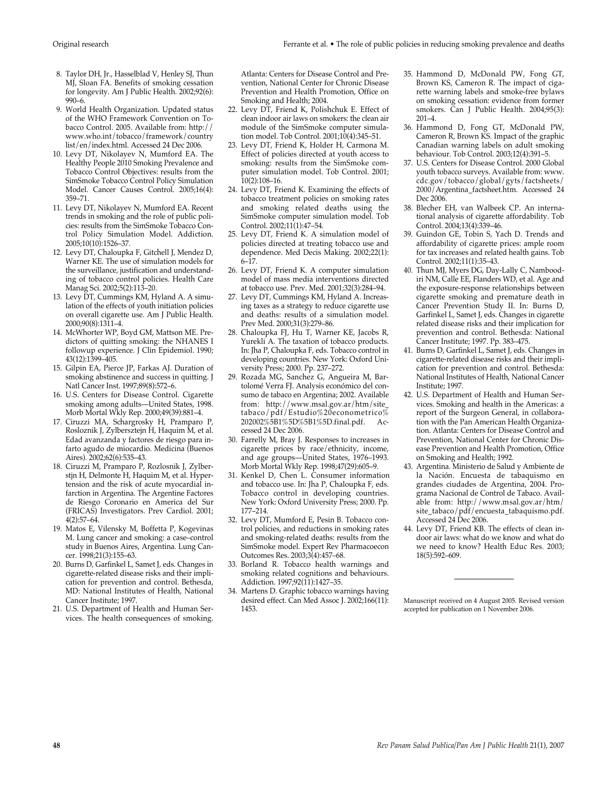- 8. Taylor DH, Jr., Hasselblad V, Henley SJ, Thun MJ, Sloan FA. Benefits of smoking cessation for longevity. Am J Public Health. 2002;92(6): 990–6.
- 9. World Health Organization. Updated status of the WHO Framework Convention on Tobacco Control. 2005. Available from: http:// www.who.int/tobacco/framework/country list/en/index.html. Accessed 24 Dec 2006.
- 10. Levy DT, Nikolayev N, Mumford EA. The Healthy People 2010 Smoking Prevalence and Tobacco Control Objectives: results from the SimSmoke Tobacco Control Policy Simulation Model. Cancer Causes Control. 2005;16(4): 359–71.
- 11. Levy DT, Nikolayev N, Mumford EA. Recent trends in smoking and the role of public policies: results from the SimSmoke Tobacco Control Policy Simulation Model. Addiction. 2005;10(10):1526–37.
- 12. Levy DT, Chaloupka F, Gitchell J, Mendez D, Warner KE. The use of simulation models for the surveillance, justification and understanding of tobacco control policies. Health Care Manag Sci. 2002;5(2):113–20.
- 13. Levy DT, Cummings KM, Hyland A. A simulation of the effects of youth initiation policies on overall cigarette use. Am J Public Health. 2000;90(8):1311–4.
- 14. McWhorter WP, Boyd GM, Mattson ME. Predictors of quitting smoking: the NHANES I followup experience. J Clin Epidemiol. 1990; 43(12):1399–405.
- 15. Gilpin EA, Pierce JP, Farkas AJ. Duration of smoking abstinence and success in quitting. J Natl Cancer Inst. 1997;89(8):572–6.
- 16. U.S. Centers for Disease Control. Cigarette smoking among adults—United States, 1998. Morb Mortal Wkly Rep. 2000;49(39):881–4.
- 17. Ciruzzi MA, Schargrosky H, Pramparo P, Rosloznik J, Zylbersztejn H, Haquim M, et al. Edad avanzanda y factores de riesgo para infarto agudo de miocardio. Medicina (Buenos Aires). 2002;62(6):535–43.
- 18. Ciruzzi M, Pramparo P, Rozlosnik J, Zylberstjn H, Delmonte H, Haquim M, et al. Hypertension and the risk of acute myocardial infarction in Argentina. The Argentine Factores de Riesgo Coronario en America del Sur (FRICAS) Investigators. Prev Cardiol. 2001; 4(2):57–64.
- 19. Matos E, Vilensky M, Boffetta P, Kogevinas M. Lung cancer and smoking: a case–control study in Buenos Aires, Argentina. Lung Cancer. 1998;21(3):155–63.
- 20. Burns D, Garfinkel L, Samet J, eds. Changes in cigarette-related disease risks and their implication for prevention and control. Bethesda, MD: National Institutes of Health, National Cancer Institute; 1997.
- 21. U.S. Department of Health and Human Services. The health consequences of smoking.

Atlanta: Centers for Disease Control and Prevention, National Center for Chronic Disease Prevention and Health Promotion, Office on Smoking and Health; 2004.

- 22. Levy DT, Friend K, Polishchuk E. Effect of clean indoor air laws on smokers: the clean air module of the SimSmoke computer simulation model. Tob Control. 2001;10(4):345–51.
- 23. Levy DT, Friend K, Holder H, Carmona M. Effect of policies directed at youth access to smoking: results from the SimSmoke computer simulation model. Tob Control. 2001; 10(2):108–16.
- 24. Levy DT, Friend K. Examining the effects of tobacco treatment policies on smoking rates and smoking related deaths using the SimSmoke computer simulation model. Tob Control. 2002;11(1):47–54.
- 25. Levy DT, Friend K. A simulation model of policies directed at treating tobacco use and dependence. Med Decis Making. 2002;22(1): 6–17.
- 26. Levy DT, Friend K. A computer simulation model of mass media interventions directed at tobacco use. Prev. Med. 2001;32(3):284–94.
- 27. Levy DT, Cummings KM, Hyland A. Increasing taxes as a strategy to reduce cigarette use and deaths: results of a simulation model. Prev Med. 2000;31(3):279–86.
- 28. Chaloupka FJ, Hu T, Warner KE, Jacobs R, Yurekli A. The taxation of tobacco products. In: Jha P, Chaloupka F, eds. Tobacco control in developing countries. New York: Oxford University Press; 2000. Pp. 237–272.
- 29. Rozada MG, Sanchez G, Angueira M, Bartolomé Verra FJ. Analysis económico del consumo de tabaco en Argentina; 2002. Available from: http://www.msal.gov.ar/htm/site\_ tabaco / pdf / Estudio%20econometrico% 202002%5B1%5D%5B1%5D.final.pdf. Accessed 24 Dec 2006.
- 30. Farrelly M, Bray J. Responses to increases in cigarette prices by race/ethnicity, income, and age groups—United States, 1976–1993. Morb Mortal Wkly Rep. 1998;47(29):605–9.
- 31. Kenkel D, Chen L. Consumer information and tobacco use. In: Jha P, Chaloupka F, eds. Tobacco control in developing countries. New York: Oxford University Press; 2000. Pp. 177–214.
- 32. Levy DT, Mumford E, Pesin B. Tobacco control policies, and reductions in smoking rates and smoking-related deaths: results from the SimSmoke model. Expert Rev Pharmacoecon Outcomes Res. 2003;3(4):457–68.
- 33. Borland R. Tobacco health warnings and smoking related cognitions and behaviours. Addiction. 1997;92(11):1427–35.
- 34. Martens D. Graphic tobacco warnings having desired effect. Can Med Assoc J. 2002;166(11): 1453.
- 35. Hammond D, McDonald PW, Fong GT, Brown KS, Cameron R. The impact of cigarette warning labels and smoke-free bylaws on smoking cessation: evidence from former smokers. Can J Public Health. 2004;95(3): 201–4.
- 36. Hammond D, Fong GT, McDonald PW, Cameron R, Brown KS. Impact of the graphic Canadian warning labels on adult smoking behaviour. Tob Control. 2003;12(4):391–5.
- 37. U.S. Centers for Disease Control. 2000 Global youth tobacco surveys. Available from: www. cdc.gov/tobacco/global/gyts/factsheets/ 2000/Argentina\_factsheet.htm. Accessed 24 Dec 2006.
- 38. Blecher EH, van Walbeek CP. An international analysis of cigarette affordability. Tob Control. 2004;13(4):339–46.
- 39. Guindon GE, Tobin S, Yach D. Trends and affordability of cigarette prices: ample room for tax increases and related health gains. Tob Control. 2002;11(1):35–43.
- 40. Thun MJ, Myers DG, Day-Lally C, Namboodiri NM, Calle EE, Flanders WD, et al. Age and the exposure-response relationships between cigarette smoking and premature death in Cancer Prevention Study II. In: Burns D, Garfinkel L, Samet J, eds. Changes in cigarette related disease risks and their implication for prevention and control. Bethesda: National Cancer Institute; 1997. Pp. 383–475.
- 41. Burns D, Garfinkel L, Samet J, eds. Changes in cigarette-related disease risks and their implication for prevention and control. Bethesda: National Institutes of Health, National Cancer Institute; 1997.
- 42. U.S. Department of Health and Human Services. Smoking and health in the Americas: a report of the Surgeon General, in collaboration with the Pan American Health Organization. Atlanta: Centers for Disease Control and Prevention, National Center for Chronic Disease Prevention and Health Promotion, Office on Smoking and Health; 1992.
- 43. Argentina. Ministerio de Salud y Ambiente de la Nación. Encuesta de tabaquismo en grandes ciudades de Argentina, 2004. Programa Nacional de Control de Tabaco. Available from: http://www.msal.gov.ar/htm/  $\mathrm{s}$ ite\_tabaco/p $\mathrm{d}$ f/encuesta\_tabaquismo.pdf. Accessed 24 Dec 2006.
- 44. Levy DT, Friend KB. The effects of clean indoor air laws: what do we know and what do we need to know? Health Educ Res. 2003; 18(5):592–609.

Manuscript received on 4 August 2005. Revised version accepted for publication on 1 November 2006.